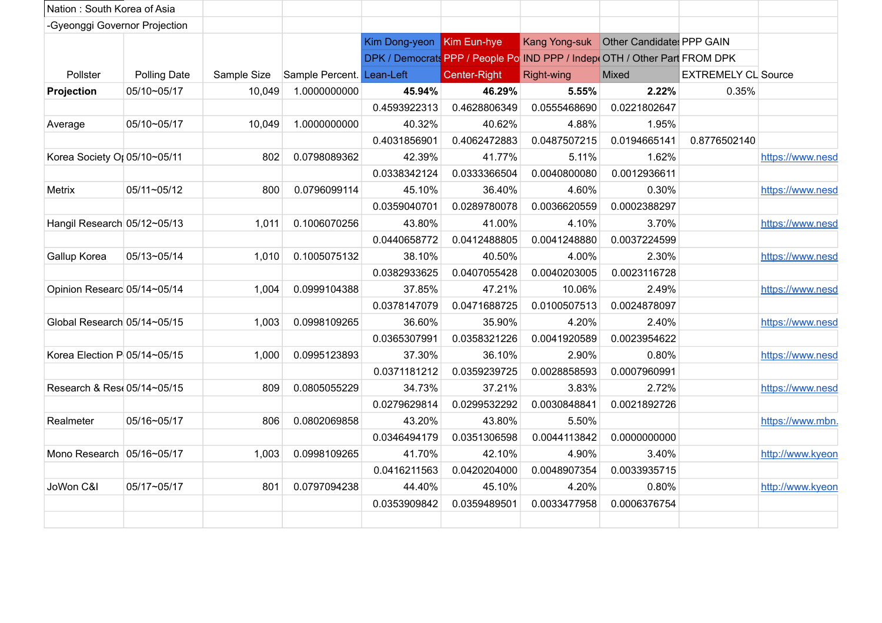| Nation: South Korea of Asia   |                     |             |                           |                           |              |                                                                           |              |                            |                  |
|-------------------------------|---------------------|-------------|---------------------------|---------------------------|--------------|---------------------------------------------------------------------------|--------------|----------------------------|------------------|
| -Gyeonggi Governor Projection |                     |             |                           |                           |              |                                                                           |              |                            |                  |
|                               |                     |             |                           | Kim Dong-yeon Kim Eun-hye |              | Kang Yong-suk Other Candidate: PPP GAIN                                   |              |                            |                  |
|                               |                     |             |                           |                           |              | DPK / Democrats PPP / People Po IND PPP / Indep(OTH / Other Part FROM DPK |              |                            |                  |
| Pollster                      | <b>Polling Date</b> | Sample Size | Sample Percent. Lean-Left |                           | Center-Right | Right-wing                                                                | Mixed        | <b>EXTREMELY CL Source</b> |                  |
| Projection                    | 05/10~05/17         | 10,049      | 1.0000000000              | 45.94%                    | 46.29%       | 5.55%                                                                     | 2.22%        | 0.35%                      |                  |
|                               |                     |             |                           | 0.4593922313              | 0.4628806349 | 0.0555468690                                                              | 0.0221802647 |                            |                  |
| Average                       | 05/10~05/17         | 10,049      | 1.0000000000              | 40.32%                    | 40.62%       | 4.88%                                                                     | 1.95%        |                            |                  |
|                               |                     |             |                           | 0.4031856901              | 0.4062472883 | 0.0487507215                                                              | 0.0194665141 | 0.8776502140               |                  |
| Korea Society Or 05/10~05/11  |                     | 802         | 0.0798089362              | 42.39%                    | 41.77%       | 5.11%                                                                     | 1.62%        |                            | https://www.nesd |
|                               |                     |             |                           | 0.0338342124              | 0.0333366504 | 0.0040800080                                                              | 0.0012936611 |                            |                  |
| Metrix                        | 05/11~05/12         | 800         | 0.0796099114              | 45.10%                    | 36.40%       | 4.60%                                                                     | 0.30%        |                            | https://www.nesd |
|                               |                     |             |                           | 0.0359040701              | 0.0289780078 | 0.0036620559                                                              | 0.0002388297 |                            |                  |
| Hangil Research 05/12~05/13   |                     | 1,011       | 0.1006070256              | 43.80%                    | 41.00%       | 4.10%                                                                     | 3.70%        |                            | https://www.nesd |
|                               |                     |             |                           | 0.0440658772              | 0.0412488805 | 0.0041248880                                                              | 0.0037224599 |                            |                  |
| Gallup Korea                  | 05/13~05/14         | 1,010       | 0.1005075132              | 38.10%                    | 40.50%       | 4.00%                                                                     | 2.30%        |                            | https://www.nesd |
|                               |                     |             |                           | 0.0382933625              | 0.0407055428 | 0.0040203005                                                              | 0.0023116728 |                            |                  |
| Opinion Researc 05/14~05/14   |                     | 1.004       | 0.0999104388              | 37.85%                    | 47.21%       | 10.06%                                                                    | 2.49%        |                            | https://www.nesd |
|                               |                     |             |                           | 0.0378147079              | 0.0471688725 | 0.0100507513                                                              | 0.0024878097 |                            |                  |
| Global Research 05/14~05/15   |                     | 1,003       | 0.0998109265              | 36.60%                    | 35.90%       | 4.20%                                                                     | 2.40%        |                            | https://www.nesd |
|                               |                     |             |                           | 0.0365307991              | 0.0358321226 | 0.0041920589                                                              | 0.0023954622 |                            |                  |
| Korea Election P 05/14~05/15  |                     | 1,000       | 0.0995123893              | 37.30%                    | 36.10%       | 2.90%                                                                     | 0.80%        |                            | https://www.nesd |
|                               |                     |             |                           | 0.0371181212              | 0.0359239725 | 0.0028858593                                                              | 0.0007960991 |                            |                  |
| Research & Res 05/14~05/15    |                     | 809         | 0.0805055229              | 34.73%                    | 37.21%       | 3.83%                                                                     | 2.72%        |                            | https://www.nesd |
|                               |                     |             |                           | 0.0279629814              | 0.0299532292 | 0.0030848841                                                              | 0.0021892726 |                            |                  |
| Realmeter                     | 05/16~05/17         | 806         | 0.0802069858              | 43.20%                    | 43.80%       | 5.50%                                                                     |              |                            | https://www.mbn. |
|                               |                     |             |                           | 0.0346494179              | 0.0351306598 | 0.0044113842                                                              | 0.0000000000 |                            |                  |
| Mono Research 05/16~05/17     |                     | 1,003       | 0.0998109265              | 41.70%                    | 42.10%       | 4.90%                                                                     | 3.40%        |                            | http://www.kyeon |
|                               |                     |             |                           | 0.0416211563              | 0.0420204000 | 0.0048907354                                                              | 0.0033935715 |                            |                  |
| JoWon C&I                     | 05/17~05/17         | 801         | 0.0797094238              | 44.40%                    | 45.10%       | 4.20%                                                                     | 0.80%        |                            | http://www.kyeon |
|                               |                     |             |                           | 0.0353909842              | 0.0359489501 | 0.0033477958                                                              | 0.0006376754 |                            |                  |
|                               |                     |             |                           |                           |              |                                                                           |              |                            |                  |